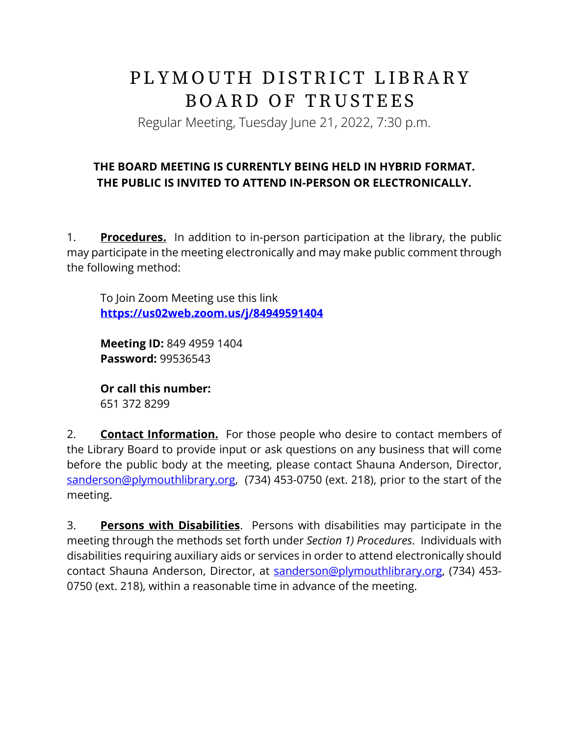## PLYMOUTH DISTRICT LIBRARY BOARD OF TRUSTEES

Regular Meeting, Tuesday June 21, 2022, 7:30 p.m.

## **THE BOARD MEETING IS CURRENTLY BEING HELD IN HYBRID FORMAT. THE PUBLIC IS INVITED TO ATTEND IN-PERSON OR ELECTRONICALLY.**

1. **Procedures.** In addition to in-person participation at the library, the public may participate in the meeting electronically and may make public comment through the following method:

To Join Zoom Meeting use this link **<https://us02web.zoom.us/j/84949591404>**

**Meeting ID:** 849 4959 1404 **Password:** 99536543

**Or call this number:** 651 372 8299

2. **Contact Information.** For those people who desire to contact members of the Library Board to provide input or ask questions on any business that will come before the public body at the meeting, please contact Shauna Anderson, Director, [sanderson@plymouthlibrary.org,](mailto:sanderson@plymouthlibrary.org) (734) 453-0750 (ext. 218), prior to the start of the meeting.

3. **Persons with Disabilities**. Persons with disabilities may participate in the meeting through the methods set forth under *Section 1) Procedures*. Individuals with disabilities requiring auxiliary aids or services in order to attend electronically should contact Shauna Anderson, Director, at [sanderson@plymouthlibrary.org,](mailto:sanderson@plymouthlibrary.org) (734) 453-0750 (ext. 218), within a reasonable time in advance of the meeting.